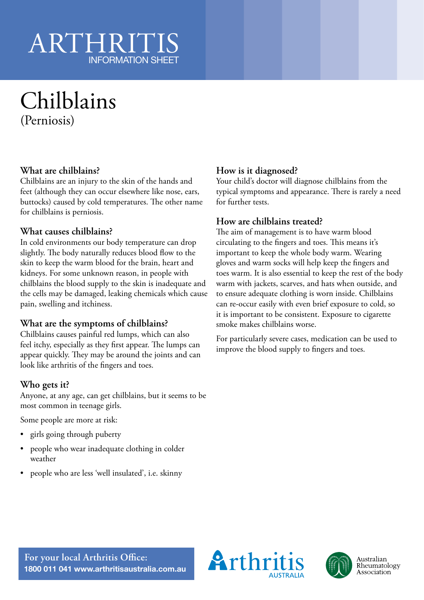# ARTHRIT INFORMATION SHEET

# Chilblains (Perniosis)

## **What are chilblains?**

Chilblains are an injury to the skin of the hands and feet (although they can occur elsewhere like nose, ears, buttocks) caused by cold temperatures. The other name for chilblains is perniosis.

#### **What causes chilblains?**

In cold environments our body temperature can drop slightly. The body naturally reduces blood flow to the skin to keep the warm blood for the brain, heart and kidneys. For some unknown reason, in people with chilblains the blood supply to the skin is inadequate and the cells may be damaged, leaking chemicals which cause pain, swelling and itchiness.

#### **What are the symptoms of chilblains?**

Chilblains causes painful red lumps, which can also feel itchy, especially as they first appear. The lumps can appear quickly. They may be around the joints and can look like arthritis of the fingers and toes.

#### **Who gets it?**

Anyone, at any age, can get chilblains, but it seems to be most common in teenage girls.

Some people are more at risk:

- girls going through puberty
- people who wear inadequate clothing in colder weather
- people who are less 'well insulated', i.e. skinny

## **How is it diagnosed?**

Your child's doctor will diagnose chilblains from the typical symptoms and appearance. There is rarely a need for further tests.

#### **How are chilblains treated?**

The aim of management is to have warm blood circulating to the fingers and toes. This means it's important to keep the whole body warm. Wearing gloves and warm socks will help keep the fingers and toes warm. It is also essential to keep the rest of the body warm with jackets, scarves, and hats when outside, and to ensure adequate clothing is worn inside. Chilblains can re-occur easily with even brief exposure to cold, so it is important to be consistent. Exposure to cigarette smoke makes chilblains worse.

For particularly severe cases, medication can be used to improve the blood supply to fingers and toes.





**For your local Arthritis Office: 1800 011 041 www.arthritisaustralia.com.au**